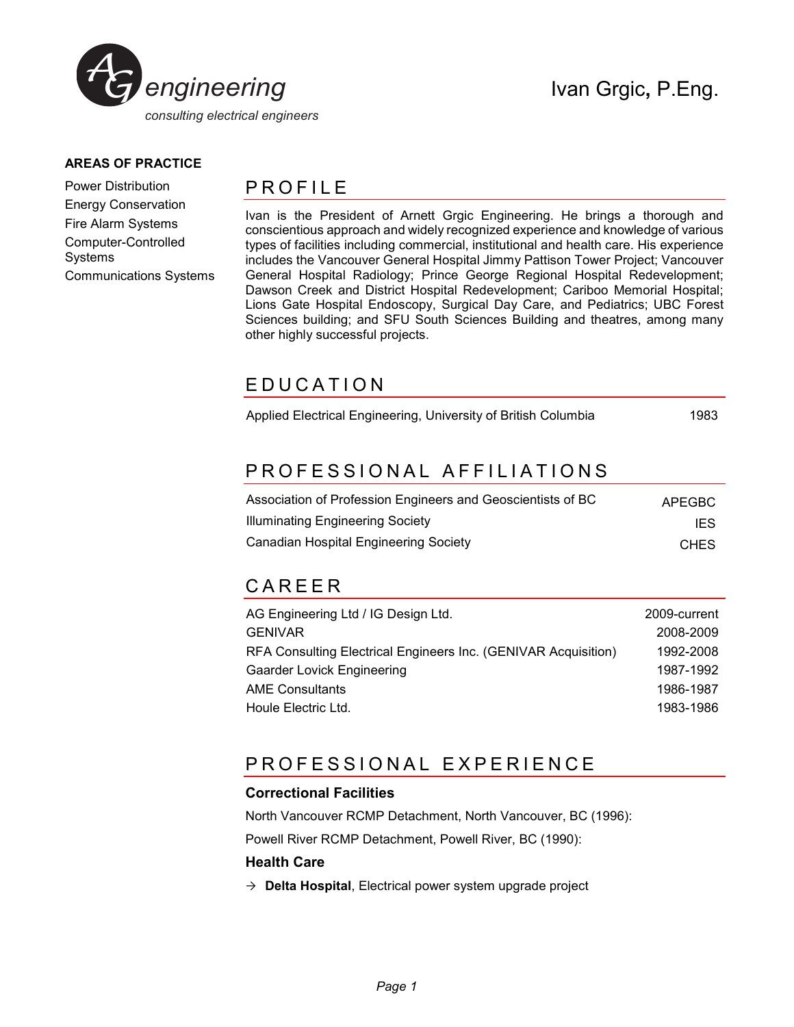

#### **AREAS OF PRACTICE**

Power Distribution Energy Conservation Fire Alarm Systems Computer-Controlled Systems Communications Systems

### **PROFILE**

Ivan is the President of Arnett Grgic Engineering. He brings a thorough and conscientious approach and widely recognized experience and knowledge of various types of facilities including commercial, institutional and health care. His experience includes the Vancouver General Hospital Jimmy Pattison Tower Project; Vancouver General Hospital Radiology; Prince George Regional Hospital Redevelopment; Dawson Creek and District Hospital Redevelopment; Cariboo Memorial Hospital; Lions Gate Hospital Endoscopy, Surgical Day Care, and Pediatrics; UBC Forest Sciences building; and SFU South Sciences Building and theatres, among many other highly successful projects.

### E D U C A T I O N

Applied Electrical Engineering, University of British Columbia 1983

# PROFESSIONAL AFFILIATIONS

| Association of Profession Engineers and Geoscientists of BC | APEGBC      |
|-------------------------------------------------------------|-------------|
| <b>Illuminating Engineering Society</b>                     | IES         |
| <b>Canadian Hospital Engineering Society</b>                | <b>CHES</b> |

# C A R E E R

| AG Engineering Ltd / IG Design Ltd.                            | 2009-current |
|----------------------------------------------------------------|--------------|
| <b>GENIVAR</b>                                                 | 2008-2009    |
| RFA Consulting Electrical Engineers Inc. (GENIVAR Acquisition) | 1992-2008    |
| <b>Gaarder Lovick Engineering</b>                              | 1987-1992    |
| <b>AME Consultants</b>                                         | 1986-1987    |
| Houle Electric Ltd.                                            | 1983-1986    |

## PROFESSIONAL EXPERIENCE

#### **Correctional Facilities**

North Vancouver RCMP Detachment, North Vancouver, BC (1996):

Powell River RCMP Detachment, Powell River, BC (1990):

#### **Health Care**

 $\rightarrow$  **Delta Hospital**, Electrical power system upgrade project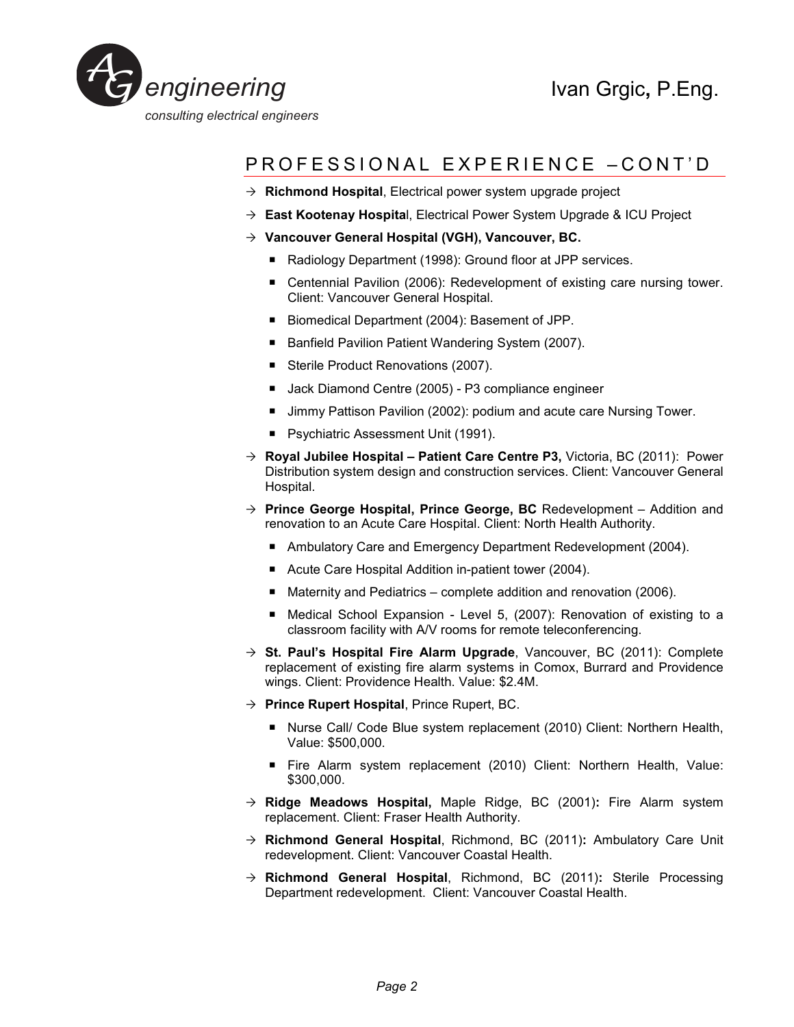

# PROFESSIONAL EXPERIENCE -CONT'D

- → **Richmond Hospital**, Electrical power system upgrade project
- **East Kootenay Hospita**l, Electrical Power System Upgrade & ICU Project
- **Vancouver General Hospital (VGH), Vancouver, BC.** 
	- Radiology Department (1998): Ground floor at JPP services.
	- Centennial Pavilion (2006): Redevelopment of existing care nursing tower. Client: Vancouver General Hospital.
	- Biomedical Department (2004): Basement of JPP.
	- Banfield Pavilion Patient Wandering System (2007).
	- Sterile Product Renovations (2007).
	- Jack Diamond Centre (2005) P3 compliance engineer
	- Jimmy Pattison Pavilion (2002): podium and acute care Nursing Tower.
	- **Psychiatric Assessment Unit (1991).**
- **Royal Jubilee Hospital Patient Care Centre P3,** Victoria, BC (2011):Power Distribution system design and construction services. Client: Vancouver General Hospital.
- **Prince George Hospital, Prince George, BC** Redevelopment Addition and renovation to an Acute Care Hospital. Client: North Health Authority.
	- Ambulatory Care and Emergency Department Redevelopment (2004).
	- Acute Care Hospital Addition in-patient tower (2004).
	- Maternity and Pediatrics complete addition and renovation (2006).
	- Medical School Expansion Level 5, (2007): Renovation of existing to a classroom facility with A/V rooms for remote teleconferencing.
- **St. Paul's Hospital Fire Alarm Upgrade**, Vancouver, BC (2011): Complete replacement of existing fire alarm systems in Comox, Burrard and Providence wings. Client: Providence Health. Value: \$2.4M.
- **Prince Rupert Hospital**, Prince Rupert, BC.
	- Nurse Call/ Code Blue system replacement (2010) Client: Northern Health, Value: \$500,000.
	- Fire Alarm system replacement (2010) Client: Northern Health, Value: \$300,000.
- **Ridge Meadows Hospital,** Maple Ridge, BC (2001)**:** Fire Alarm system replacement. Client: Fraser Health Authority.
- **Richmond General Hospital**, Richmond, BC (2011)**:** Ambulatory Care Unit redevelopment. Client: Vancouver Coastal Health.
- **Richmond General Hospital**, Richmond, BC (2011)**:** Sterile Processing Department redevelopment. Client: Vancouver Coastal Health.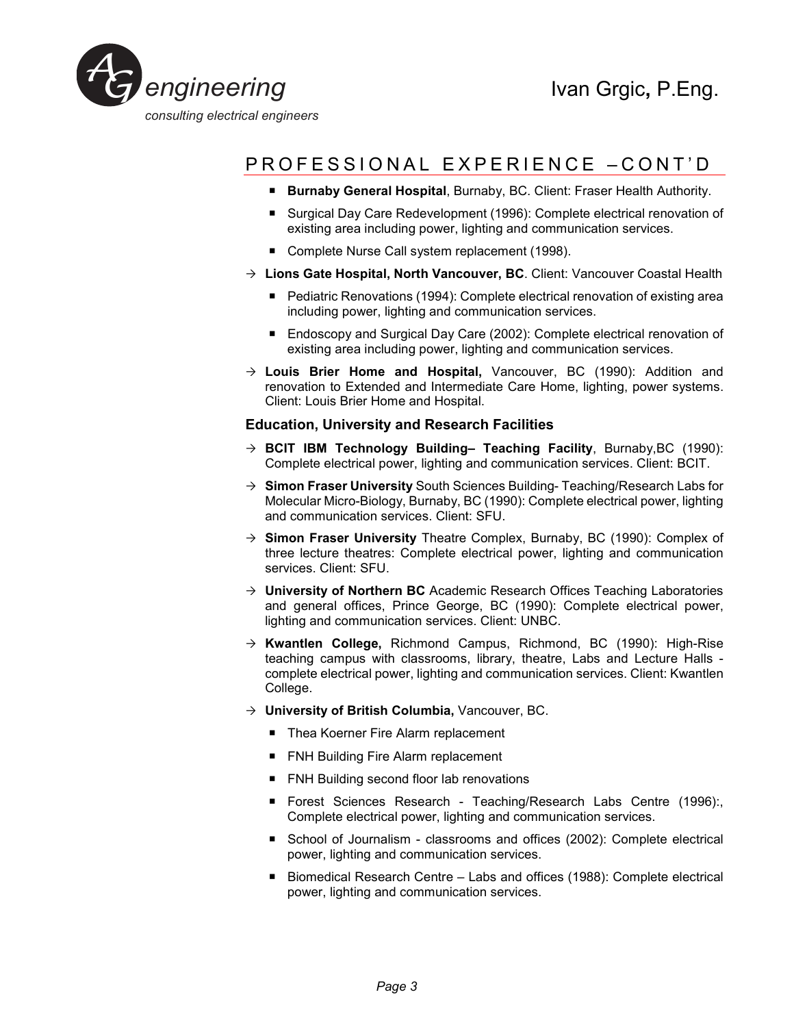

# PROFESSIONAL EXPERIENCE -CONT'D

- **Burnaby General Hospital**, Burnaby, BC. Client: Fraser Health Authority.
- Surgical Day Care Redevelopment (1996): Complete electrical renovation of existing area including power, lighting and communication services.
- Complete Nurse Call system replacement (1998).
- **Lions Gate Hospital, North Vancouver, BC**. Client: Vancouver Coastal Health
	- Pediatric Renovations (1994): Complete electrical renovation of existing area including power, lighting and communication services.
	- Endoscopy and Surgical Day Care (2002): Complete electrical renovation of existing area including power, lighting and communication services.
- **Louis Brier Home and Hospital,** Vancouver, BC (1990): Addition and renovation to Extended and Intermediate Care Home, lighting, power systems. Client: Louis Brier Home and Hospital.

#### **Education, University and Research Facilities**

- **BCIT IBM Technology Building– Teaching Facility**, Burnaby,BC (1990): Complete electrical power, lighting and communication services. Client: BCIT.
- **Simon Fraser University** South Sciences Building- Teaching/Research Labs for Molecular Micro-Biology, Burnaby, BC (1990): Complete electrical power, lighting and communication services. Client: SFU.
- **Simon Fraser University** Theatre Complex, Burnaby, BC (1990): Complex of three lecture theatres: Complete electrical power, lighting and communication services. Client: SFU.
- → **University of Northern BC** Academic Research Offices Teaching Laboratories and general offices, Prince George, BC (1990): Complete electrical power, lighting and communication services. Client: UNBC.
- **Kwantlen College,** Richmond Campus, Richmond, BC (1990): High-Rise teaching campus with classrooms, library, theatre, Labs and Lecture Halls complete electrical power, lighting and communication services. Client: Kwantlen College.
- **University of British Columbia,** Vancouver, BC.
	- Thea Koerner Fire Alarm replacement
	- FNH Building Fire Alarm replacement
	- FNH Building second floor lab renovations
	- **Forest Sciences Research Teaching/Research Labs Centre (1996):** Complete electrical power, lighting and communication services.
	- School of Journalism classrooms and offices (2002): Complete electrical power, lighting and communication services.
	- Biomedical Research Centre Labs and offices (1988): Complete electrical power, lighting and communication services.